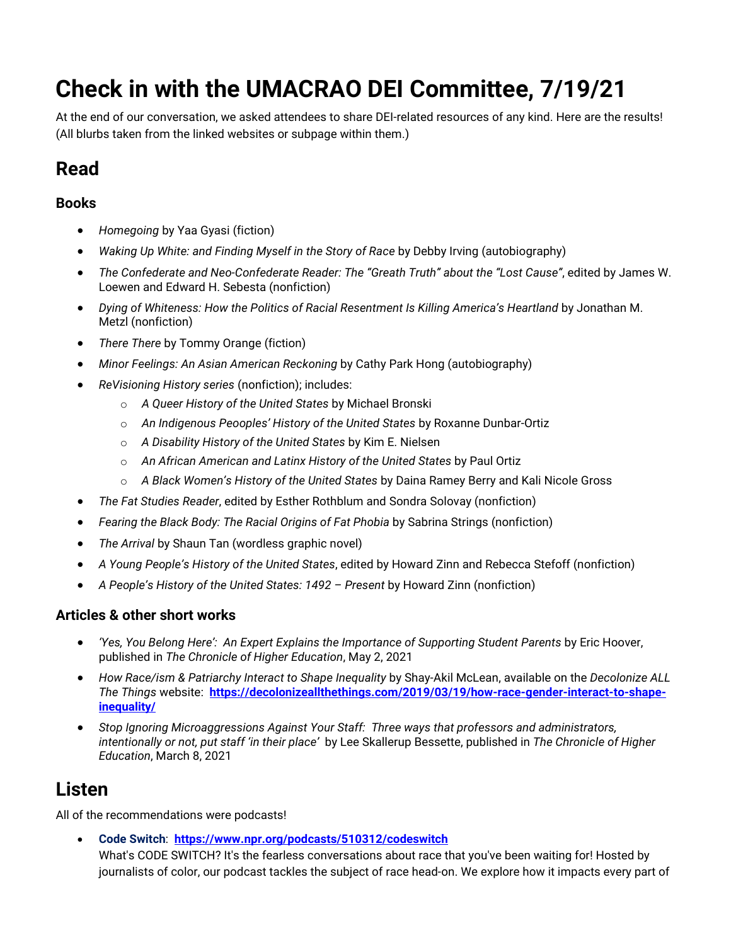# **Check in with the UMACRAO DEI Committee, 7/19/21**

At the end of our conversation, we asked attendees to share DEI-related resources of any kind. Here are the results! (All blurbs taken from the linked websites or subpage within them.)

## **Read**

#### **Books**

- *Homegoing* by Yaa Gyasi (fiction)
- *Waking Up White: and Finding Myself in the Story of Race* by Debby Irving (autobiography)
- *The Confederate and Neo-Confederate Reader: The "Greath Truth" about the "Lost Cause"*, edited by James W. Loewen and Edward H. Sebesta (nonfiction)
- *Dying of Whiteness: How the Politics of Racial Resentment Is Killing America's Heartland* by Jonathan M. Metzl (nonfiction)
- *There There* by Tommy Orange (fiction)
- *Minor Feelings: An Asian American Reckoning* by Cathy Park Hong (autobiography)
- *ReVisioning History series* (nonfiction); includes:
	- o *A Queer History of the United States* by Michael Bronski
	- o *An Indigenous Peooples' History of the United States* by Roxanne Dunbar-Ortiz
	- o *A Disability History of the United States* by Kim E. Nielsen
	- o *An African American and Latinx History of the United States* by Paul Ortiz
	- o *A Black Women's History of the United States* by Daina Ramey Berry and Kali Nicole Gross
- *The Fat Studies Reader*, edited by Esther Rothblum and Sondra Solovay (nonfiction)
- *Fearing the Black Body: The Racial Origins of Fat Phobia* by Sabrina Strings (nonfiction)
- *The Arrival* by Shaun Tan (wordless graphic novel)
- *A Young People's History of the United States*, edited by Howard Zinn and Rebecca Stefoff (nonfiction)
- *A People's History of the United States: 1492 Present* by Howard Zinn (nonfiction)

#### **Articles & other short works**

- *'Yes, You Belong Here': An Expert Explains the Importance of Supporting Student Parents* by Eric Hoover, published in *The Chronicle of Higher Education*, May 2, 2021
- *How Race/ism & Patriarchy Interact to Shape Inequality* by Shay-Akil McLean, available on the *Decolonize ALL The Things* website: **[https://decolonizeallthethings.com/2019/03/19/how-race-gender-interact-to-shape](https://decolonizeallthethings.com/2019/03/19/how-race-gender-interact-to-shape-inequality/)[inequality/](https://decolonizeallthethings.com/2019/03/19/how-race-gender-interact-to-shape-inequality/)**
- *Stop Ignoring Microaggressions Against Your Staff: Three ways that professors and administrators, intentionally or not, put staff 'in their place'* by Lee Skallerup Bessette, published in *The Chronicle of Higher Education*, March 8, 2021

### **Listen**

All of the recommendations were podcasts!

• **Code Switch**: **<https://www.npr.org/podcasts/510312/codeswitch>**

What's CODE SWITCH? It's the fearless conversations about race that you've been waiting for! Hosted by journalists of color, our podcast tackles the subject of race head-on. We explore how it impacts every part of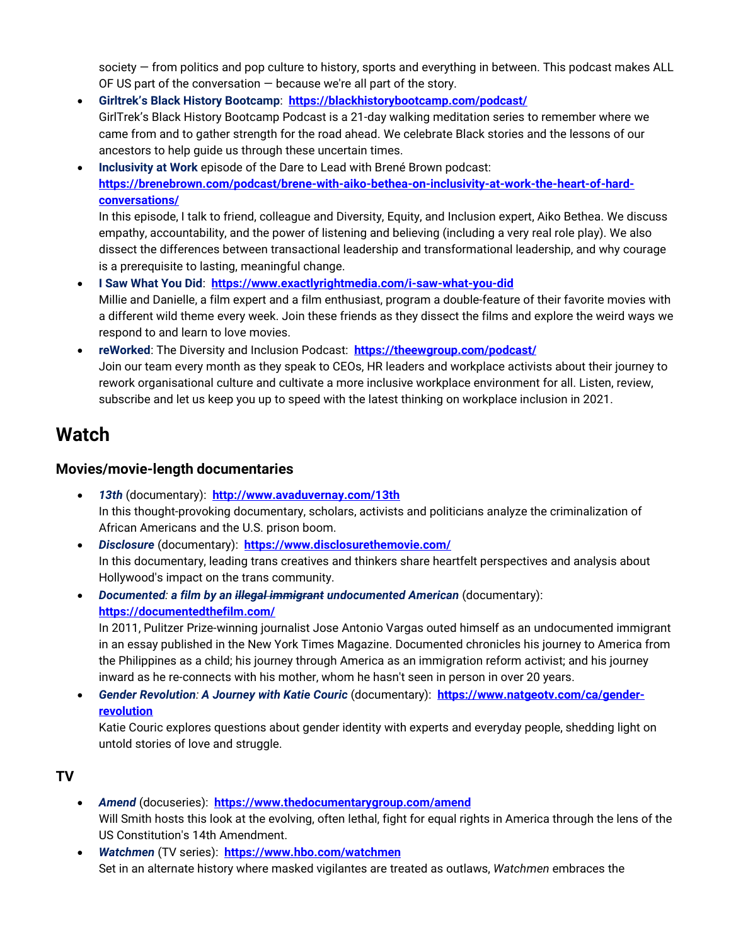society — from politics and pop culture to history, sports and everything in between. This podcast makes ALL OF US part of the conversation  $-$  because we're all part of the story.

- **Girltrek's Black History Bootcamp**: **<https://blackhistorybootcamp.com/podcast/>** GirlTrek's Black History Bootcamp Podcast is a 21-day walking meditation series to remember where we came from and to gather strength for the road ahead. We celebrate Black stories and the lessons of our ancestors to help guide us through these uncertain times.
- **Inclusivity at Work** episode of the Dare to Lead with Brené Brown podcast: **[https://brenebrown.com/podcast/brene-with-aiko-bethea-on-inclusivity-at-work-the-heart-of-hard](https://brenebrown.com/podcast/brene-with-aiko-bethea-on-inclusivity-at-work-the-heart-of-hard-conversations/)[conversations/](https://brenebrown.com/podcast/brene-with-aiko-bethea-on-inclusivity-at-work-the-heart-of-hard-conversations/)**

In this episode, I talk to friend, colleague and Diversity, Equity, and Inclusion expert, Aiko Bethea. We discuss empathy, accountability, and the power of listening and believing (including a very real role play). We also dissect the differences between transactional leadership and transformational leadership, and why courage is a prerequisite to lasting, meaningful change.

- **I Saw What You Did**: **<https://www.exactlyrightmedia.com/i-saw-what-you-did>** Millie and Danielle, a film expert and a film enthusiast, program a double-feature of their favorite movies with a different wild theme every week. Join these friends as they dissect the films and explore the weird ways we respond to and learn to love movies.
- **reWorked**: The Diversity and Inclusion Podcast: **<https://theewgroup.com/podcast/>** Join our team every month as they speak to CEOs, HR leaders and workplace activists about their journey to rework organisational culture and cultivate a more inclusive workplace environment for all. Listen, review, subscribe and let us keep you up to speed with the latest thinking on workplace inclusion in 2021.

### **Watch**

#### **Movies/movie-length documentaries**

- *13th* (documentary): **<http://www.avaduvernay.com/13th>** In this thought-provoking documentary, scholars, activists and politicians analyze the criminalization of African Americans and the U.S. prison boom.
- *Disclosure* (documentary): **<https://www.disclosurethemovie.com/>** In this documentary, leading trans creatives and thinkers share heartfelt perspectives and analysis about Hollywood's impact on the trans community.
- *Documented: a film by an illegal immigrant undocumented American* (documentary): **<https://documentedthefilm.com/>**

In 2011, Pulitzer Prize-winning journalist Jose Antonio Vargas outed himself as an undocumented immigrant in an essay published in the New York Times Magazine. Documented chronicles his journey to America from the Philippines as a child; his journey through America as an immigration reform activist; and his journey inward as he re-connects with his mother, whom he hasn't seen in person in over 20 years.

• *Gender Revolution: A Journey with Katie Couric* (documentary): **[https://www.natgeotv.com/ca/gender](https://www.natgeotv.com/ca/gender-revolution)[revolution](https://www.natgeotv.com/ca/gender-revolution)**

Katie Couric explores questions about gender identity with experts and everyday people, shedding light on untold stories of love and struggle.

#### **TV**

- *Amend* (docuseries): **<https://www.thedocumentarygroup.com/amend>** Will Smith hosts this look at the evolving, often lethal, fight for equal rights in America through the lens of the US Constitution's 14th Amendment.
- *Watchmen* (TV series): **<https://www.hbo.com/watchmen>** Set in an alternate history where masked vigilantes are treated as outlaws, *Watchmen* embraces the